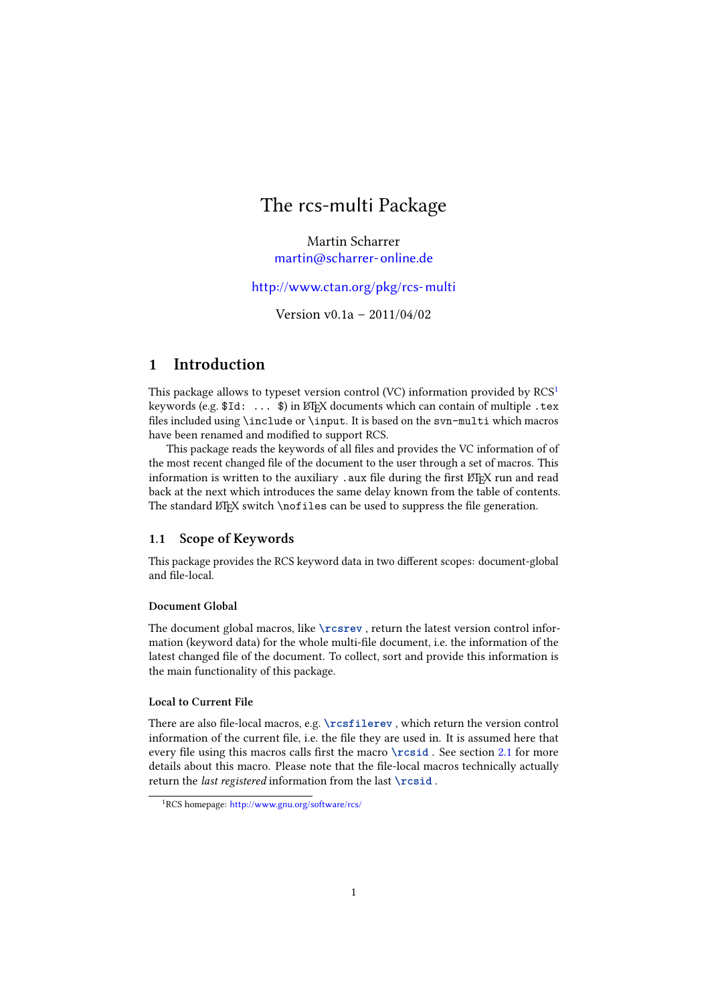# The rcs-multi Package

Martin Scharrer [martin@scharrer-online.de](mailto:martin@scharrer-online.de)

# <http://www.ctan.org/pkg/rcs-multi>

Version v0.1a – 2011/04/02

# 1 Introduction

This package allows to typeset version control (VC) information provided by RCS<sup>[1](#page-0-0)</sup> keywords (e.g. \$Id: ... \$) in LATEX documents which can contain of multiple .tex files included using \include or \input. It is based on the  $\mathbf s$ vn-multi which macros have been renamed and modified to support RCS.

This package reads the keywords of all files and provides the VC information of of the most recent changed file of the document to the user through a set of macros. This information is written to the auxiliary . aux file during the first  $E$ F<sub>F</sub>X run and read back at the next which introduces the same delay known from the table of contents. The standard  $\Delta FFX$  switch \nofiles can be used to suppress the file generation.

# 1.1 Scope of Keywords

This package provides the RCS keyword data in two different scopes: document-global and file-local.

### Document Global

The document global macros, like **\rcsrev** , return the latest version control information (keyword data) for the whole multi-file document, i.e. the information of the latest changed file of the document. To collect, sort and provide this information is the main functionality of this package.

## Local to Current File

There are also file-local macros, e.g. **\rcsfilerev**, which return the version control information of the current file, i.e. the file they are used in. It is assumed here that every file using this macros calls first the macro **\rcsid** . See section [2.1](#page-1-0) for more details about this macro. Please note that the file-local macros technically actually return the last registered information from the last **\rcsid** .

<span id="page-0-0"></span><sup>1</sup>RCS homepage: <http://www.gnu.org/software/rcs/>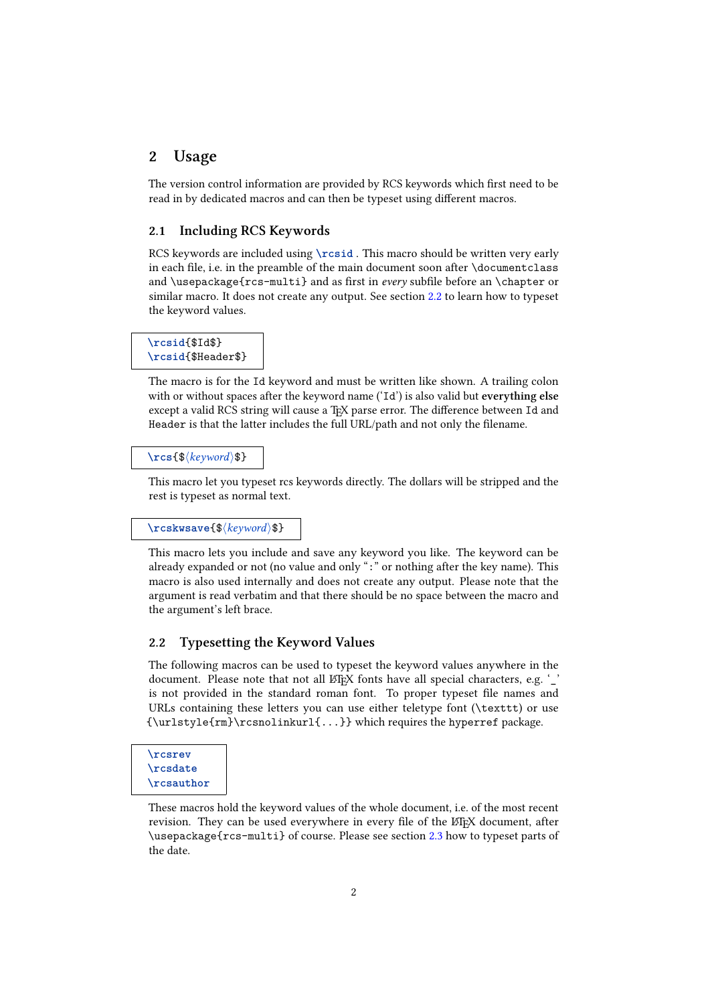# 2 Usage

The version control information are provided by RCS keywords which first need to be read in by dedicated macros and can then be typeset using different macros.

# <span id="page-1-0"></span>2.1 Including RCS Keywords

RCS keywords are included using **\rcsid** . This macro should be written very early in each file, i.e. in the preamble of the main document soon after \documentclass and \usepackage{ $rcs$ -multi} and as first in every subfile before an \chapter or similar macro. It does not create any output. See section [2.2](#page-1-1) to learn how to typeset the keyword values.

### **\rcsid**{\$Id\$} **\rcsid**{\$Header\$}

The macro is for the Id keyword and must be written like shown. A trailing colon with or without spaces after the keyword name ('Id') is also valid but everything else except a valid RCS string will cause a TEX parse error. The difference between Id and Header is that the latter includes the full URL/path and not only the filename.

### \rcs{\$\/keyword\\$}

This macro let you typeset rcs keywords directly. The dollars will be stripped and the rest is typeset as normal text.

#### \rcskwsave{\$\/keyword\\$}

This macro lets you include and save any keyword you like. The keyword can be already expanded or not (no value and only ":" or nothing after the key name). This macro is also used internally and does not create any output. Please note that the argument is read verbatim and that there should be no space between the macro and the argument's left brace.

### <span id="page-1-1"></span>2.2 Typesetting the Keyword Values

The following macros can be used to typeset the keyword values anywhere in the document. Please note that not all LATEX fonts have all special characters, e.g. '\_ is not provided in the standard roman font. To proper typeset file names and URLs containing these letters you can use either teletype font (\texttt) or use {\urlstyle{rm}\rcsnolinkurl{...}} which requires the hyperref package.

# **\rcsrev \rcsdate \rcsauthor**

These macros hold the keyword values of the whole document, i.e. of the most recent revision. They can be used everywhere in every file of the LATEX document, after \usepackage{rcs-multi} of course. Please see section [2.3](#page-3-0) how to typeset parts of the date.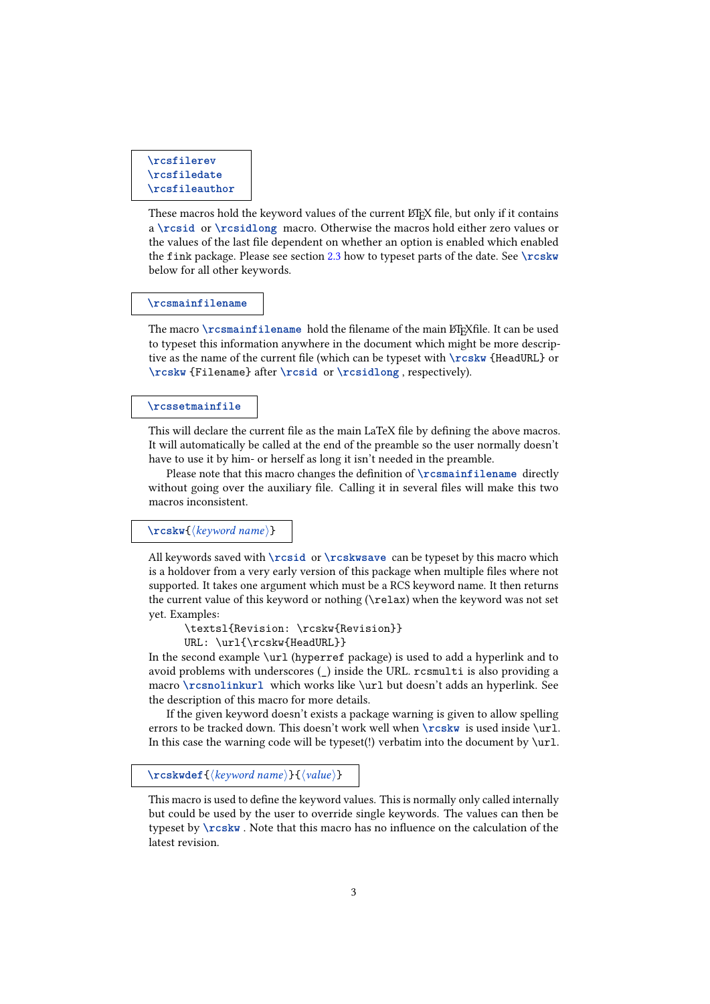```
\rcsfilerev
\rcsfiledate
\rcsfileauthor
```
These macros hold the keyword values of the current LATEX file, but only if it contains a **\rcsid** or **\rcsidlong** macro. Otherwise the macros hold either zero values or the values of the last file dependent on whether an option is enabled which enabled the fink package. Please see section [2.3](#page-3-0) how to typeset parts of the date. See **\rcskw** below for all other keywords.

#### **\rcsmainfilename**

The macro **\rcsmainfilename** hold the filename of the main  $E$ F<sub>K</sub>file. It can be used to typeset this information anywhere in the document which might be more descriptive as the name of the current file (which can be typeset with **\rcskw** {HeadURL} or **\rcskw** {Filename} after **\rcsid** or **\rcsidlong** , respectively).

#### **\rcssetmainfile**

This will declare the current file as the main LaTeX file by defining the above macros. It will automatically be called at the end of the preamble so the user normally doesn't have to use it by him- or herself as long it isn't needed in the preamble.

Please note that this macro changes the definition of **\rcsmainfilename** directly without going over the auxiliary file. Calling it in several files will make this two macros inconsistent.

### \rcskw{\langle keyword name}}

All keywords saved with **\rcsid** or **\rcskwsave** can be typeset by this macro which is a holdover from a very early version of this package when multiple files where not supported. It takes one argument which must be a RCS keyword name. It then returns the current value of this keyword or nothing (\relax) when the keyword was not set yet. Examples:

```
\textsl{Revision: \rcskw{Revision}}
URL: \url{\rcskw{HeadURL}}
```
In the second example \url (hyperref package) is used to add a hyperlink and to avoid problems with underscores (\_) inside the URL. rcsmulti is also providing a macro **\rcsnolinkurl** which works like \url but doesn't adds an hyperlink. See the description of this macro for more details.

If the given keyword doesn't exists a package warning is given to allow spelling errors to be tracked down. This doesn't work well when **\rcskw** is used inside \url. In this case the warning code will be typeset(!) verbatim into the document by  $\url.$ 

\rcskwdef{\/\left{\lame}}{\tegrame}}}

This macro is used to define the keyword values. This is normally only called internally but could be used by the user to override single keywords. The values can then be typeset by **\rcskw** . Note that this macro has no influence on the calculation of the latest revision.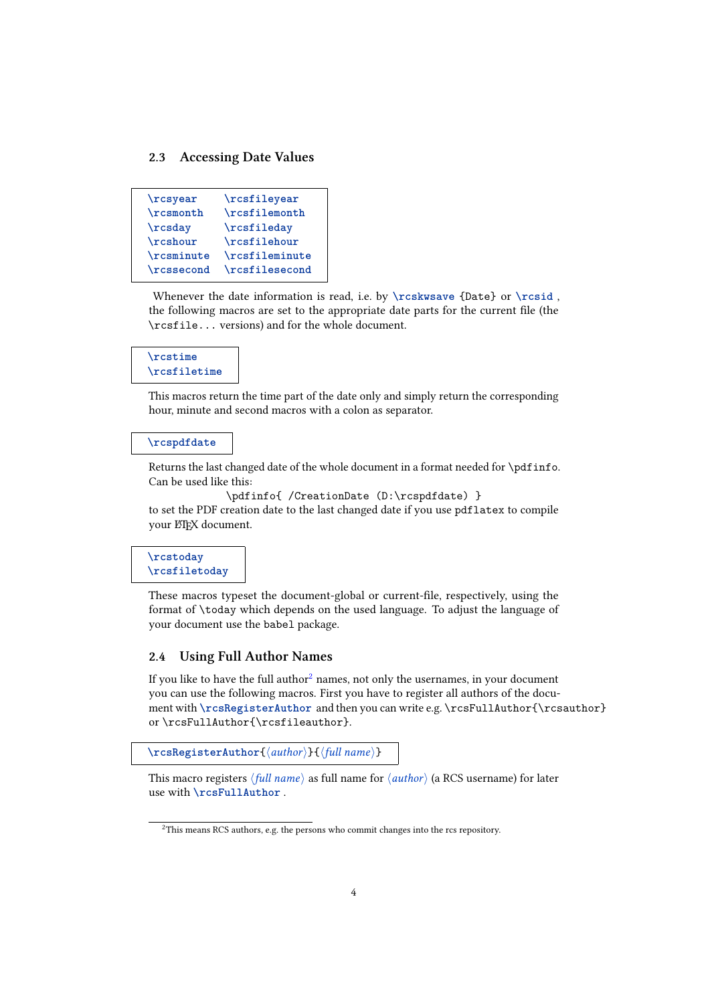### <span id="page-3-0"></span>2.3 Accessing Date Values

```
\rcsyear \rcsfileyear
\rcsmonth \rcsfilemonth
\rcsday \rcsfileday
\rcshour \rcsfilehour
\rcsminute \rcsfileminute
\rcssecond \rcsfilesecond
```
Whenever the date information is read, i.e. by **\rcskwsave** {Date} or **\rcsid** , the following macros are set to the appropriate date parts for the current file (the \rcsfile... versions) and for the whole document.

# **\rcstime \rcsfiletime**

This macros return the time part of the date only and simply return the corresponding hour, minute and second macros with a colon as separator.

#### **\rcspdfdate**

Returns the last changed date of the whole document in a format needed for \pdfinfo. Can be used like this:

```
\pdfinfo{ /CreationDate (D:\rcspdfdate) }
to set the PDF creation date to the last changed date if you use pdflatex to compile
your ETEX document.
```
**\rcstoday \rcsfiletoday**

These macros typeset the document-global or current-file, respectively, using the format of \today which depends on the used language. To adjust the language of your document use the babel package.

# 2.4 Using Full Author Names

If you like to have the full author<sup>[2](#page-3-1)</sup> names, not only the usernames, in your document you can use the following macros. First you have to register all authors of the document with \rcsRegisterAuthor and then you can write e.g. \rcsFullAuthor{\rcsauthor} or \rcsFullAuthor{\rcsfileauthor}.

```
\rcsRegisterAuthor{\author\}{\full name}}
```
This macro registers  $\langle full\ name\rangle$  as full name for  $\langle author\rangle$  (a RCS username) for later use with **\rcsFullAuthor** .

<span id="page-3-1"></span><sup>&</sup>lt;sup>2</sup>This means RCS authors, e.g. the persons who commit changes into the rcs repository.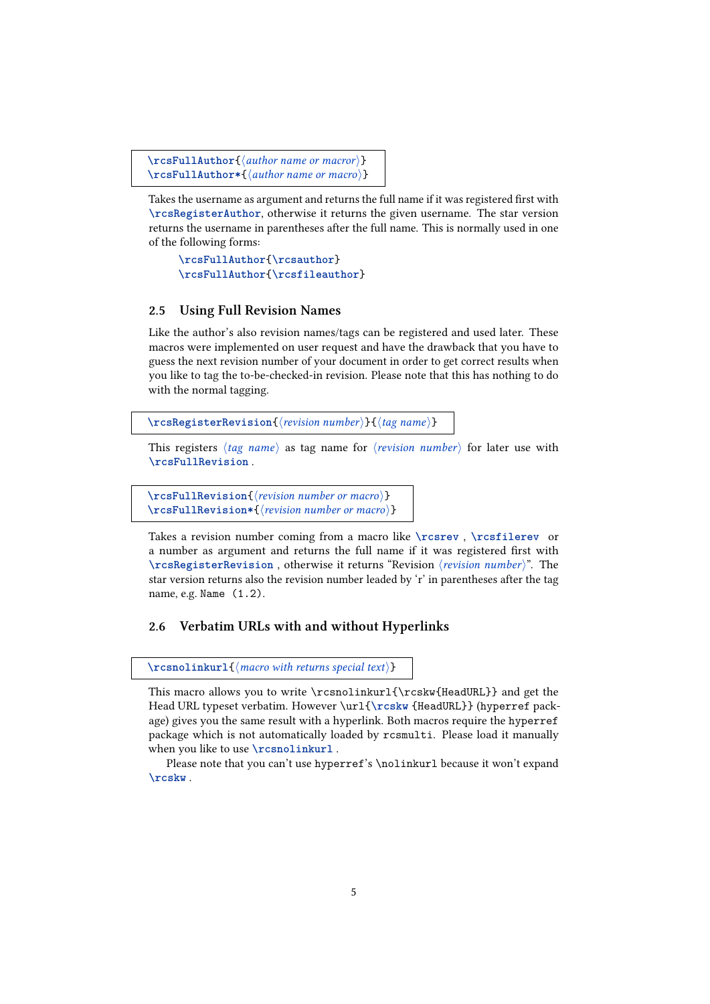```
\rcsFullAuthor{\author name or macror\}
\rcsFullAuthor*{\author name or macro\}
```
Takes the username as argument and returns the full name if it was registered first with **\rcsRegisterAuthor**, otherwise it returns the given username. The star version returns the username in parentheses after the full name. This is normally used in one of the following forms:

**\rcsFullAuthor**{**\rcsauthor**} **\rcsFullAuthor**{**\rcsfileauthor**}

### 2.5 Using Full Revision Names

Like the author's also revision names/tags can be registered and used later. These macros were implemented on user request and have the drawback that you have to guess the next revision number of your document in order to get correct results when you like to tag the to-be-checked-in revision. Please note that this has nothing to do with the normal tagging.

```
\rcsRegisterRevision{\tevision number\}{\tag name\}
```
This registers  $\langle tag \ name \rangle$  as tag name for  $\langle revision \ number \rangle$  for later use with **\rcsFullRevision** .

\rcsFullRevision{\tevision number or macro\} \rcsFullRevision\*{\revision number or macro\}

Takes a revision number coming from a macro like **\rcsrev** , **\rcsfilerev** or a number as argument and returns the full name if it was registered first with **\rcsRegisterRevision**, otherwise it returns "Revision (revision number)". The star version returns also the revision number leaded by 'r' in parentheses after the tag name, e.g. Name (1.2).

# 2.6 Verbatim URLs with and without Hyperlinks

 $\text{resnolinkurl}$  (*macro with returns special text*)}

This macro allows you to write \rcsnolinkurl{\rcskw{HeadURL}} and get the Head URL typeset verbatim. However \url{**\rcskw** {HeadURL}} (hyperref package) gives you the same result with a hyperlink. Both macros require the hyperref package which is not automatically loaded by rcsmulti. Please load it manually when you like to use **\rcsnolinkurl** .

Please note that you can't use hyperref's \nolinkurl because it won't expand **\rcskw** .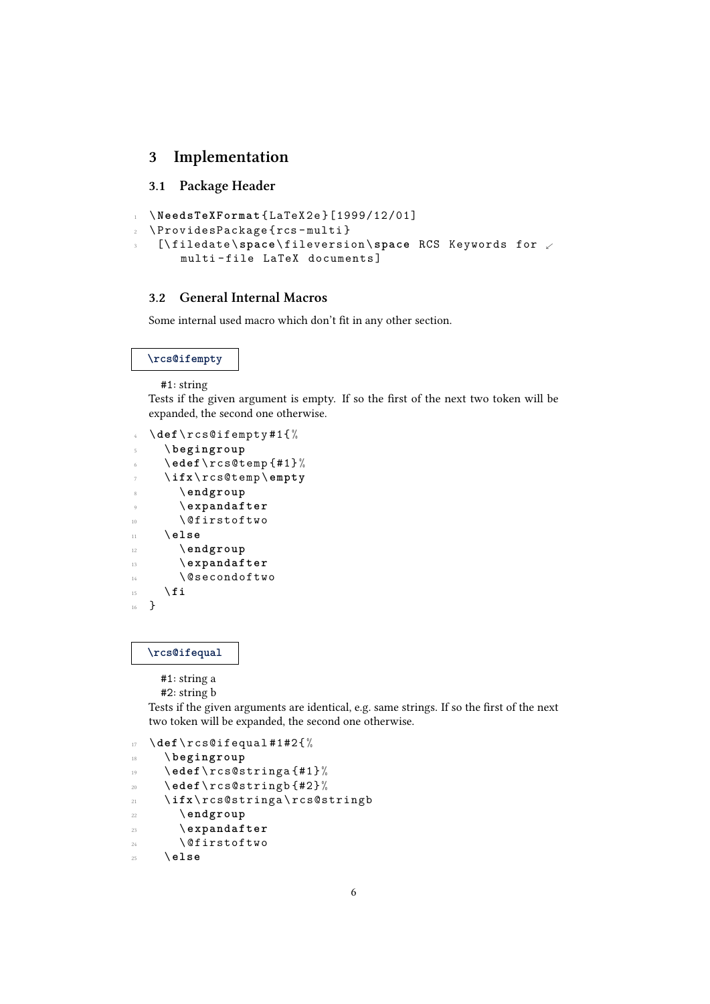# 3 Implementation

# 3.1 Package Header

```
1 \NeedsTeXFormat {LaTeX2e}[1999/12/01]
2 \ ProvidesPackage { rcs - multi }
   3 [\ filedate \ space \ fileversion \ space RCS Keywords for .
       multi-file LaTeX documents]
```
## 3.2 General Internal Macros

Some internal used macro which don't fit in any other section.

### **\rcs@ifempty**

#1: string

Tests if the given argument is empty. If so the first of the next two token will be expanded, the second one otherwise.

```
4 \ def\ rcs@ifempty #1{%
    5 \ begingroup
    6 \ edef \ rcs@temp {#1} %
    7 \ ifx\ rcs@temp \ empty
8 \ endgroup
9 \ expandafter
10 \ @firstoftwo
11 \ else
12 \ endgroup
13 \ expandafter
14 \ @secondoftwo
\frac{15}{15} \fi
16 }
```
### **\rcs@ifequal**

#1: string a

```
#2: string b
```
Tests if the given arguments are identical, e.g. same strings. If so the first of the next two token will be expanded, the second one otherwise.

```
17 \ def\ rcs@ifequal #1#2{ %
```

```
18 \ begingroup
```

```
19 \ edef \ rcs@stringa {#1} %
```

```
20 \ edef \ rcs@stringb {#2} %
```

```
21 \ ifx\ rcs@stringa \ rcs@stringb
```

```
22 \ endgroup
```

```
23 \ expandafter
```

```
24 \ Qfirstoftwo
```

```
25 \ else
```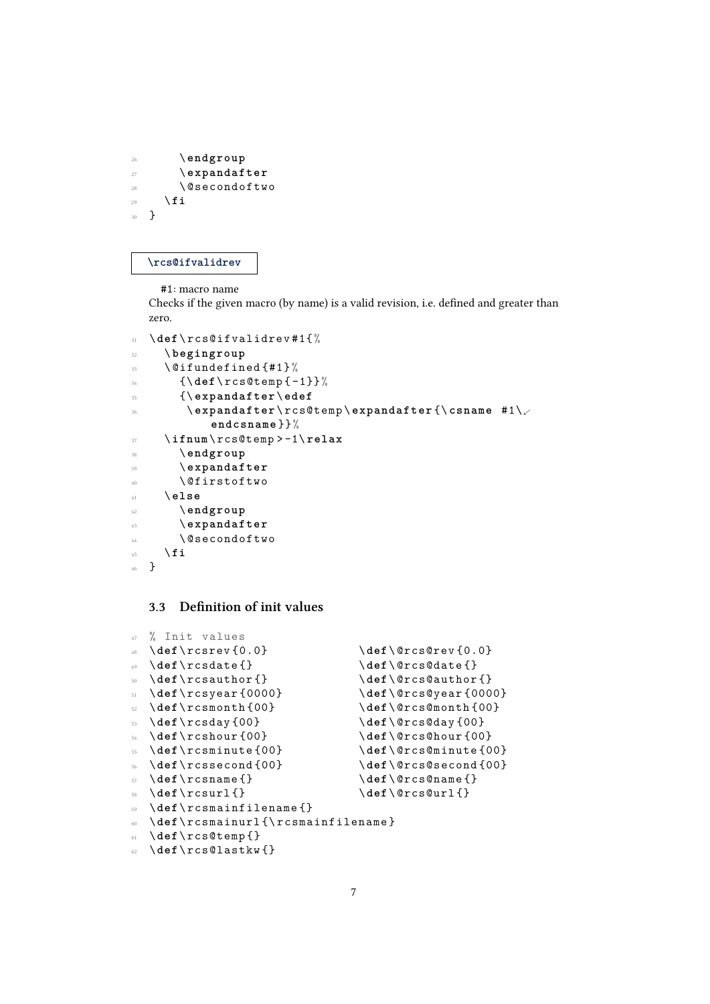```
26 \ endgroup
27 \ expandafter
28 \ @secondoftwo
29 \qquad \qquad fi
30 }
```
#### **\rcs@ifvalidrev**

#1: macro name

Checks if the given macro (by name) is a valid revision, i.e. defined and greater than zero.

```
31 \ def\ rcs@ifvalidrev #1{%
32 \ begingroup
33 \ @ifundefined {#1} %
34 {\ def \ rcs@temp { -1}}%
35 {\ expandafter \ edef
36 \ expandafter \ rcs@temp \ expandafter {\ csname #1\.
            endcsname }}%
37 \ ifnum \ rcs@temp > -1\ relax
38 \ endgroup
39 \ expandafter
40 \Cfirstoftwo
41 \ else
42 \ endgroup
43 \ expandafter
44 \ @secondoftwo
45 \qquad \qquad \setminus \textbf{fi}46 }
```
# 3.3 Definition of init values

```
47 % Init values
48 \ def\ rcsrev {0.0} \ def \ @rcs@rev {0.0}
49 \def\rcsdate {} \ \def\@rcs@date {}
50 \ def\ rcsauthor {} \ def \ @rcs@author {}
51 \ def\ rcsyear {0000} \ def \ @rcs@year {0000}
52 \ def\ rcsmonth {00} \ def \ @rcs@month {00}
53 \ def\ rcsday {00} \ def \ @rcs@day {00}
54 \ def\ rcshour {00} \ def \ @rcs@hour {00}
55 \ def\ rcsminute {00} \ def \ @rcs@minute {00}
56 \ def\ rcssecond {00} \ def \ @rcs@second {00}
57 \ def \ rcsname { } \qquad \qquad \ def \ @rcs@name { }
58 \ def\ rcsurl {} \ def \ @rcs@url {}
59 \ def\ rcsmainfilename {}
60 \ def\ rcsmainurl {\ rcsmainfilename }
61 \ def\ rcs@temp {}
62 \ def\ rcs@lastkw {}
```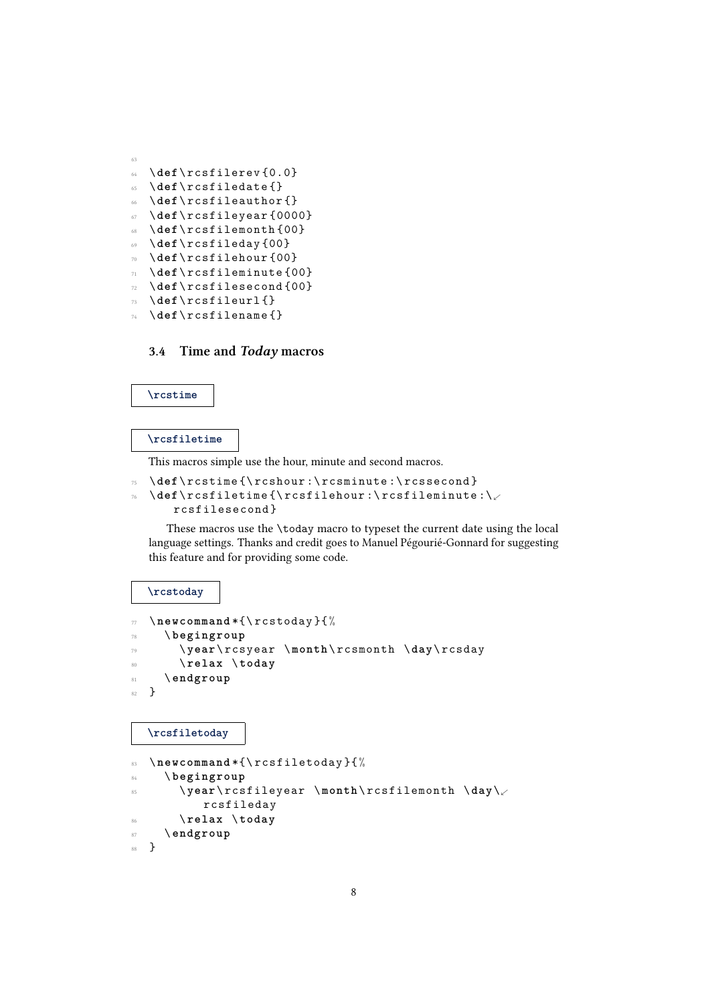```
63
64 \ def\ rcsfilerev {0.0}
65 \ def\ rcsfiledate {}
66 \ def\ rcsfileauthor {}
67 \ def\ rcsfileyear {0000}
68 \ def\ rcsfilemonth {00}
69 \ def\ rcsfileday {00}
70 \ def\ rcsfilehour {00}
71 \ def\ rcsfileminute {00}
72 \ def\ rcsfilesecond {00}
73 \ def\ rcsfileurl {}
74 \ def\ rcsfilename {}
```
# 3.4 Time and Today macros

### **\rcstime**

### **\rcsfiletime**

This macros simple use the hour, minute and second macros.

```
\def\rcstime {\rcshour:\rcsminute:\rcssecond}
76 \ def\ rcsfiletime {\ rcsfilehour :\ rcsfileminute :\.
```

```
rcsfilesecond }
```
These macros use the \today macro to typeset the current date using the local language settings. Thanks and credit goes to Manuel Pégourié-Gonnard for suggesting this feature and for providing some code.

#### **\rcstoday**

```
77 \ newcommand *{\ rcstoday }{%
78 \ begingroup
79 \ year \ rcsyear \ month \ rcsmonth \ day\ rcsday
80 \ relax \ today
81 \ endgroup
82 }
```
**\rcsfiletoday**

```
83 \ newcommand *{\ rcsfiletoday }{%
84 \ begingroup
85 \ year \ rcsfileyear \ month \ rcsfilemonth \ day\.
           rcsfileday
       86 \ relax \ today
87 \ endgroup
88 }
```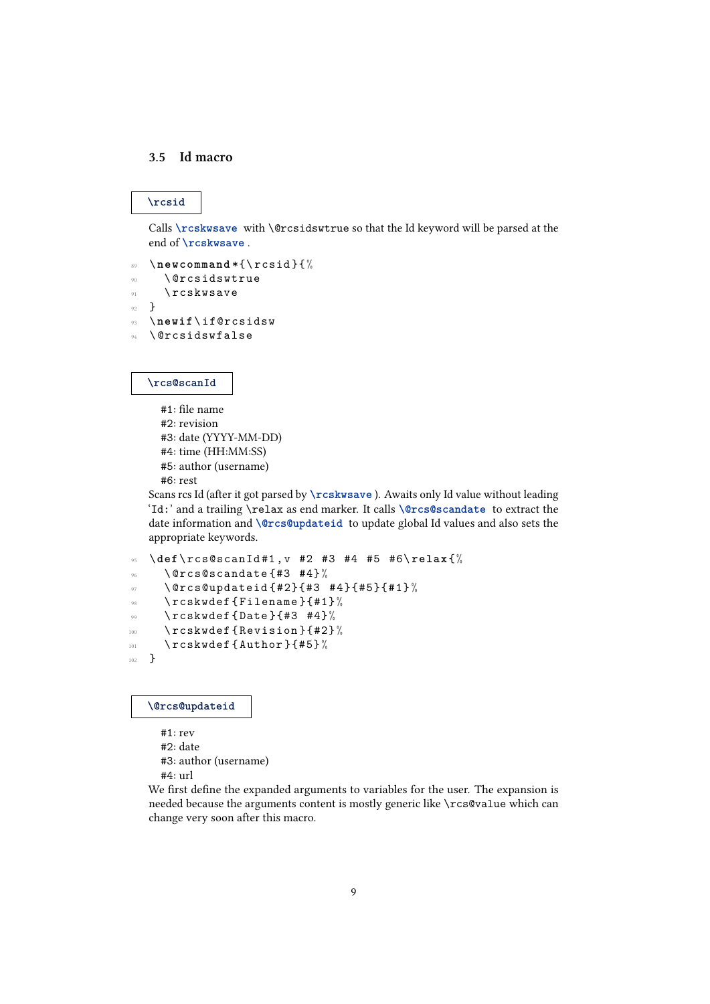### 3.5 Id macro

# **\rcsid**

Calls **\rcskwsave** with \@rcsidswtrue so that the Id keyword will be parsed at the end of **\rcskwsave** .

```
89 \ newcommand *{\ rcsid }{%
     \@rcsidswtrue
\gamma \ rcskwsave
92 }
93 \ newif \ if@rcsidsw
94 \ @rcsidswfalse
```
### **\rcs@scanId**

#1: file name #2: revision #3: date (YYYY-MM-DD) #4: time (HH:MM:SS) #5: author (username) #6: rest

Scans rcs Id (after it got parsed by **\rcskwsave** ). Awaits only Id value without leading 'Id:' and a trailing \relax as end marker. It calls **\@rcs@scandate** to extract the date information and **\@rcs@updateid** to update global Id values and also sets the appropriate keywords.

```
95 \ def\ rcs@scanId #1 , v #2 #3 #4 #5 #6\ relax {%
\% \@rcs@scandate {#3 #4}%
\frac{97}{97} \@rcs@updateid{#2}{#3 #4}{#5}{#1}%
98 \ rcskwdef { Filename }{#1} %
\frac{99}{100} \rcskwdef {Date } {#3 #4}%
100 \rcskwdef {Revision } {#2} %
101 \rcskwdef { Author } {#5} %
102 }
```
**\@rcs@updateid**

#1: rev #2: date #3: author (username) #4: url

We first define the expanded arguments to variables for the user. The expansion is needed because the arguments content is mostly generic like \rcs@value which can change very soon after this macro.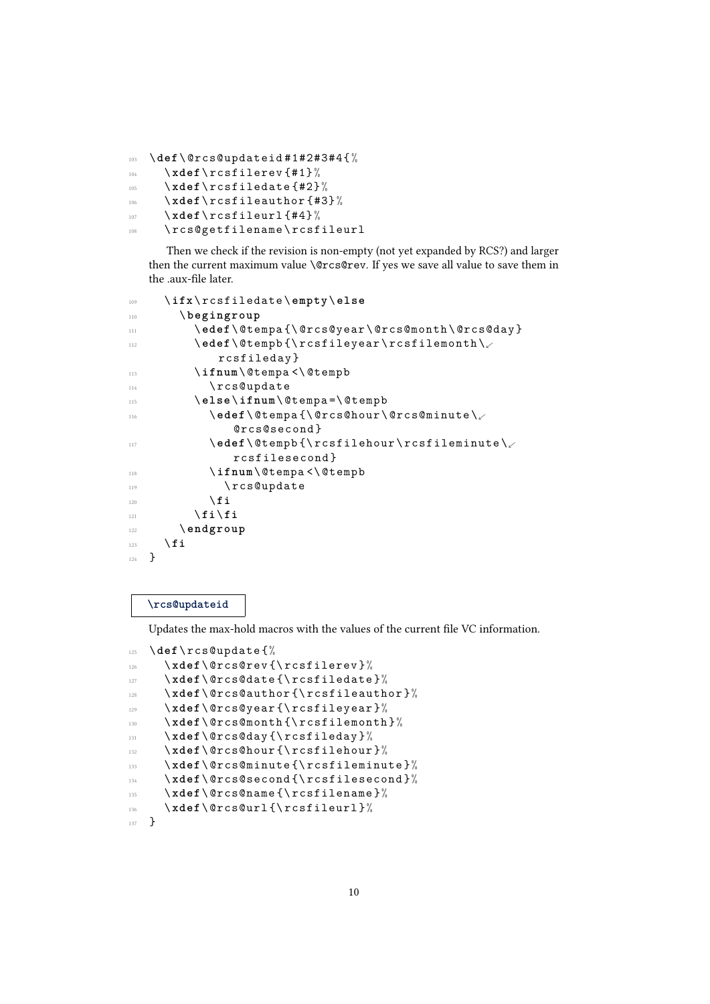```
103 \ def\ @rcs@updateid #1#2#3#4{ %
```

```
104 \xdef \rcsfilerev {#1} %
```

```
105 \xdef \rcsfiledate {#2} %
```

```
106 \xdef \rcsfileauthor {#3}%
```

```
107 \xdef \ rcsfileurl {#4} %
```

```
\rcs@getfilename\rcsfileurl
```
Then we check if the revision is non-empty (not yet expanded by RCS?) and larger then the current maximum value \@rcs@rev. If yes we save all value to save them in the .aux-file later.

```
109 \ ifx\ rcsfiledate \ empty \ else
110 \ begingroup
111 \edef\@tempa {\@rcs@year\@rcs@month\@rcs@day }
112 \edef \@tempb{\rcsfileyear \rcsfilemonth \
            rcsfileday }
113 \ifnum \@tempa <\@tempb
114 \rcs@update
115 \ else \ ifnum \ @tempa =\ @tempb
116 \edef \@tempa {\@rcs@hour \@rcs@minute \
              @rcs@second }
117 \edef\@tempb{\rcsfilehour\rcsfileminute\
              rcsfilesecond }
118 \ifnum \ @tempa <\ @tempb
119 \rcs@update
           \chifi
121 \fi\fi
122 \ endgroup
123 \qquad \qquad \int f \, \mathbf{i}124 }
```
## **\rcs@updateid**

Updates the max-hold macros with the values of the current file VC information.

```
125 \ def\ rcs@update {%
126 \xdef\@rcs@rev{\rcsfilerev}%
127 \xdef\@rcs@date{\rcsfiledate}%
128 \xdef\@rcs@author{\rcsfileauthor}%
129 \xdef \@rcs@year {\rcsfileyear }%
130 \xdef \@rcs@month {\rcsfilemonth }%
131 \xdef \@rcs@day {\rcsfileday }%
132 \xdef \@rcs@hour {\rcsfilehour }%
133 \ xdef \ @rcs@minute { \ rcsfileminute } %
134 \xdef \@rcs@second {\rcsfilesecond }%
135 \xdef \@rcs@name {\rcsfilename }%
136 \xdef \@rcs@url{\rcsfileurl }%
137 }
```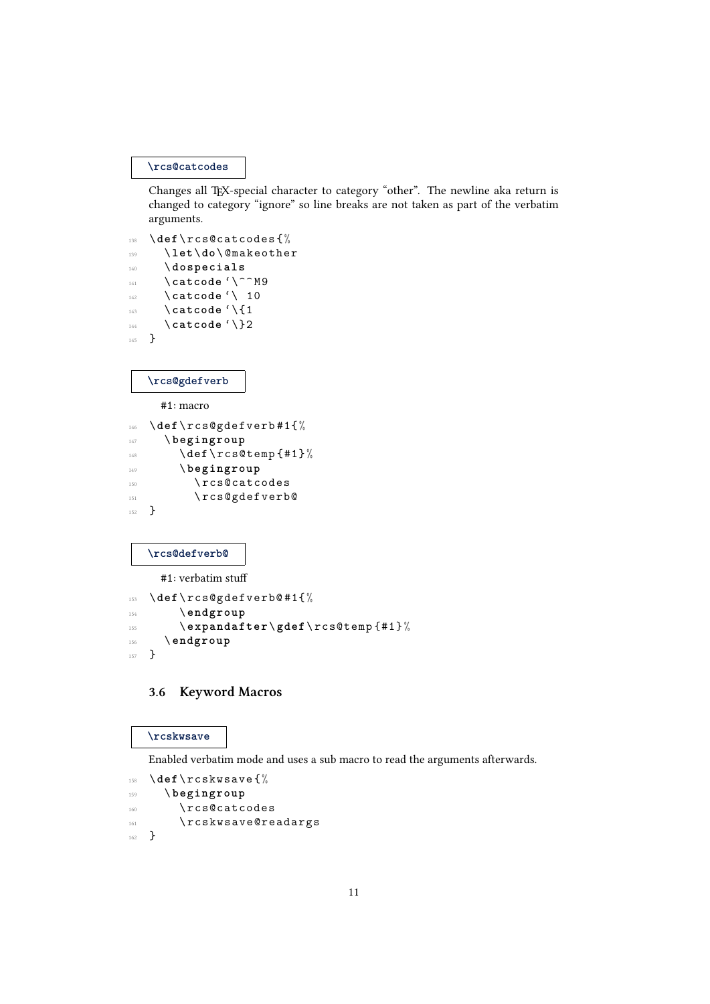## **\rcs@catcodes**

Changes all TFX-special character to category "other". The newline aka return is changed to category "ignore" so line breaks are not taken as part of the verbatim arguments.

```
138 \ def\ rcs@catcodes {%
139 \ let\do\ @makeother
140 \ dospecials
141 \ catcode '\^^ M 9
```
- 142 \ **catcode** '\ 10 143 \ \ catcode '\{1
- 144 \catcode<sup>'</sup>\}2

```
145 }
```
### **\rcs@gdefverb**

#1: macro

```
146 \def\rcs@gdefverb#1{%
147 \ begingroup
148 \def \rcs@temp {#1}%
149 \ begingroup
150 \rcs@catcodes
151 \rcs@gdefverb@
152 }
```
### **\rcs@defverb@**

#1: verbatim stuff

```
153 \ def\ rcs@gdefverb@ #1{%
154 \ endgroup
155 \ expandafter \ gdef \ rcs@temp {#1} %
156 \ endgroup
157 }
```
# 3.6 Keyword Macros

### **\rcskwsave**

Enabled verbatim mode and uses a sub macro to read the arguments afterwards.

```
158 \def\rcskwsave{%
159 \ begingroup
160 \rcs@catcodes
161 \rcskwsave@readargs
162 }
```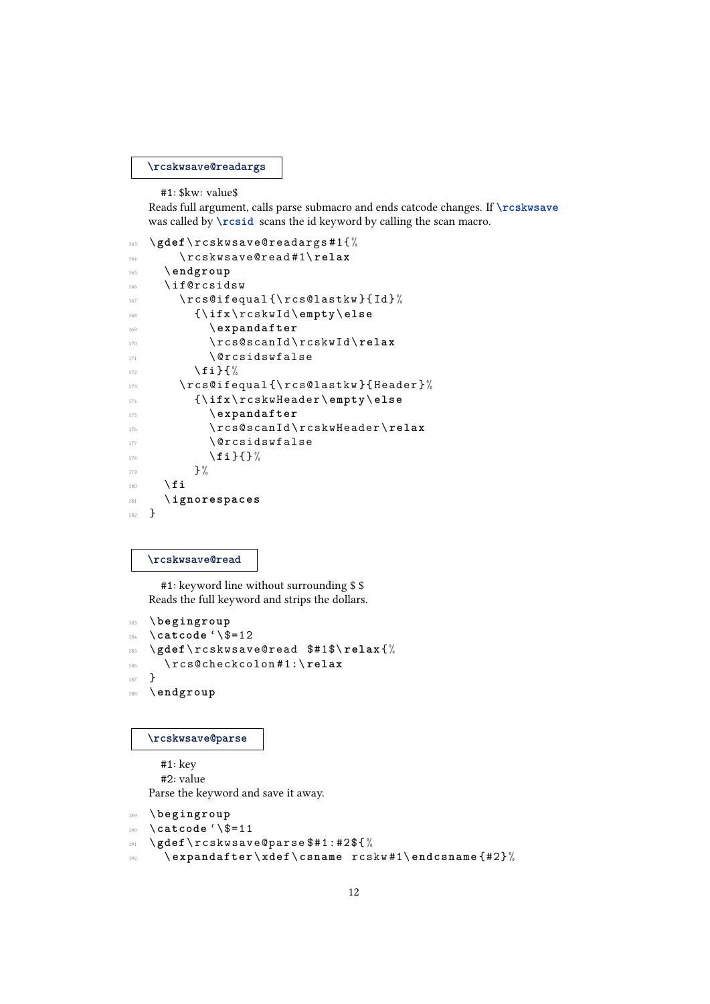**\rcskwsave@readargs**

#1: \$kw: value\$

Reads full argument, calls parse submacro and ends catcode changes. If **\rcskwsave** was called by **\rcsid** scans the id keyword by calling the scan macro.

```
163 \ gdef \ rcskwsave@readargs #1{%
164 \ rcskwsave@read #1\ relax
165 \ endgroup
166 \if@rcsidsw
167 \ rcs@ifequal {\ rcs@lastkw } {Id }%
168 {\ ifx \ rcskwId \ empty \ else
169 \ expandafter
170 \ rcs@scanId\rcskwId\relax
171 \sqrt{C}csidswfalse
172 \fi } { %
173 \ rcs@ifequal {\ rcs@lastkw } { Header } %
174 {\ ifx \ rcskwHeader \ empty \ else
175 \ expandafter
176 \ rcs@scanId \ rcskwHeader \ relax
177 \ @rcsidswfalse
178 \fi } { } %
179 } \frac{9}{6}180 \fi
181 \ ignorespaces
182 }
```
**\rcskwsave@read**

#1: keyword line without surrounding \$ \$ Reads the full keyword and strips the dollars.

```
183 \ begingroup
184 \ catcode '\$=12
185 \ gdef \ rcskwsave@read $#1$\ relax {%
186 \ rcs@checkcolon #1:\ relax
187 }
188 \ endgroup
```
### **\rcskwsave@parse**

#1: key #2: value Parse the keyword and save it away.

```
189 \ begingroup
190 \ catcode '\$=11
191 \ gdef \ rcskwsave@parse $#1:#2${ %
192 \ expandafter \ xdef \ csname rcskw #1\ endcsname {#2} %
```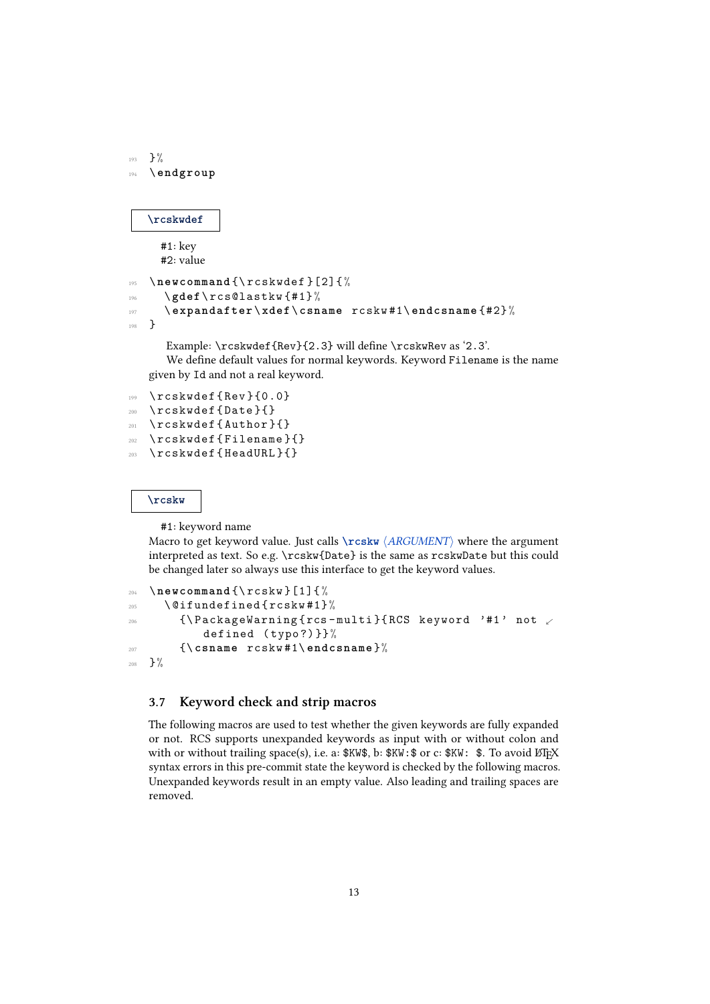```
193 } \frac{9}{6}194 \ endgroup
```
#### **\rcskwdef**

#1: key #2: value

```
195 \newcommand {\rcskwdef } [2] {%
196 \ gdef \ rcs@lastkw {#1} %
197 \ expandafter \ xdef \ csname rcskw #1\ endcsname {#2} %
198 }
```
Example:  $\r \csc \sqrt{Rev}$  {2.3} will define  $\r \csc \sqrt{2.3'}$ .

We define default values for normal keywords. Keyword Filename is the name given by Id and not a real keyword.

 \ rcskwdef { Rev }{0.0} \ rcskwdef { Date }{} \ rcskwdef { Author }{} \ rcskwdef { Filename }{} \ rcskwdef { HeadURL }{}

**\rcskw**

#1: keyword name

Macro to get keyword value. Just calls **\rcskw**  $\langle \text{ARGUMENT} \rangle$  where the argument interpreted as text. So e.g. \rcskw{Date} is the same as rcskwDate but this could be changed later so always use this interface to get the keyword values.

```
204 \ newcommand {\ rcskw }[1]{ %
205 \ @ifundefined { rcskw #1}%
206 {\P} {\PackageWarning {rcs-multi } {RCS keyword '#1' not .
            defined (typo?)}}%
        207 {\ csname rcskw #1\ endcsname }%
208 } \frac{9}{6}
```
# 3.7 Keyword check and strip macros

The following macros are used to test whether the given keywords are fully expanded or not. RCS supports unexpanded keywords as input with or without colon and with or without trailing space(s), i.e. a:  $\frac{KW}{\delta}$ , b:  $KW:$   $\circ$  or c:  $\frac{KW}{\delta}$ . To avoid  $\frac{W}{\delta}$ X syntax errors in this pre-commit state the keyword is checked by the following macros. Unexpanded keywords result in an empty value. Also leading and trailing spaces are removed.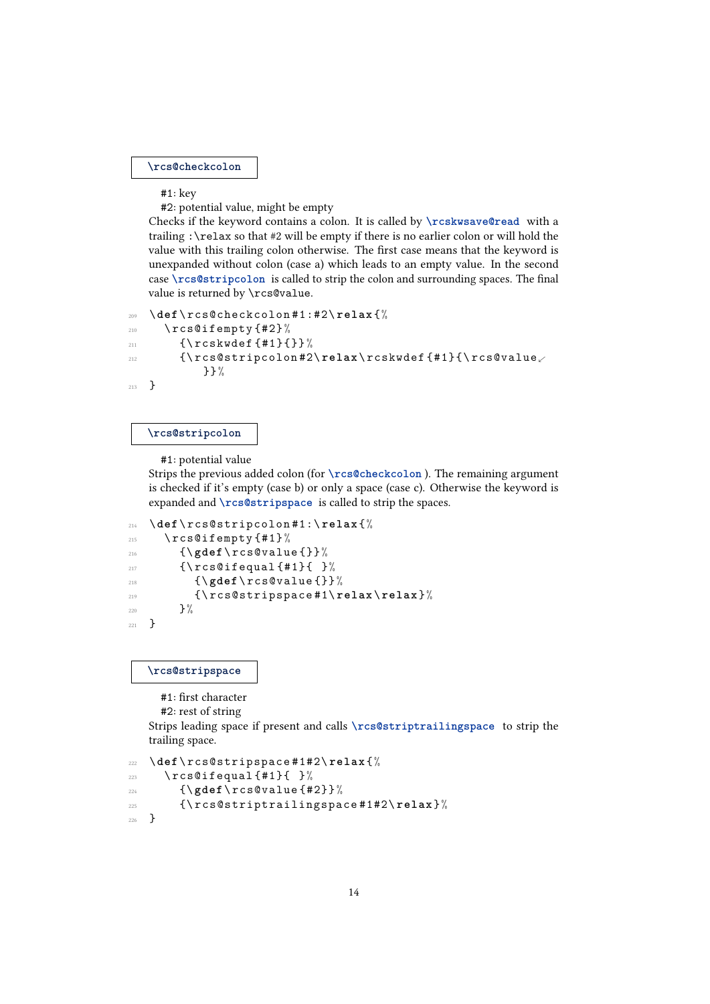**\rcs@checkcolon**

#1: key

#2: potential value, might be empty

Checks if the keyword contains a colon. It is called by **\rcskwsave@read** with a trailing :\relax so that #2 will be empty if there is no earlier colon or will hold the value with this trailing colon otherwise. The first case means that the keyword is unexpanded without colon (case a) which leads to an empty value. In the second case **\rcs@stripcolon** is called to strip the colon and surrounding spaces. The final value is returned by \rcs@value.

```
209 \ def\ rcs@checkcolon #1:#2\ relax {%
210 \rcs@ifempty{#2}%
211 {\rceil {\csc{\ddot{\tau}} \mathbf{1}} \}212 {\rcs@stripcolon#2\relax\rcskwdef{#1}{\rcs@value
           }}%
213 }
```
#### **\rcs@stripcolon**

#1: potential value

Strips the previous added colon (for **\rcs@checkcolon** ). The remaining argument is checked if it's empty (case b) or only a space (case c). Otherwise the keyword is expanded and **\rcs@stripspace** is called to strip the spaces.

```
214 \ def\ rcs@stripcolon #1:\ relax {%
215 \chircs@ifempty{#1}%
216 {\ gdef \ rcs@value {}}%
217 {\rcs@ifequal{#1}{ }%
218 \{ \gtrsim \{ \gtrsim \frac{1}{2} \} \}219 {\ rcs@stripspace #1\ relax \ relax }%
220 } \frac{9}{6}221 }
```
**\rcs@stripspace**

#1: first character

```
#2: rest of string
```
Strips leading space if present and calls **\rcs@striptrailingspace** to strip the trailing space.

```
222 \ def\ rcs@stripspace #1#2\ relax {%
223 \rcs@ifequal{#1}{ }%
224 {\ gdef \ rcs@value {#2}} %
225 {\ rcs@striptrailingspace #1#2\ relax }%
226 }
```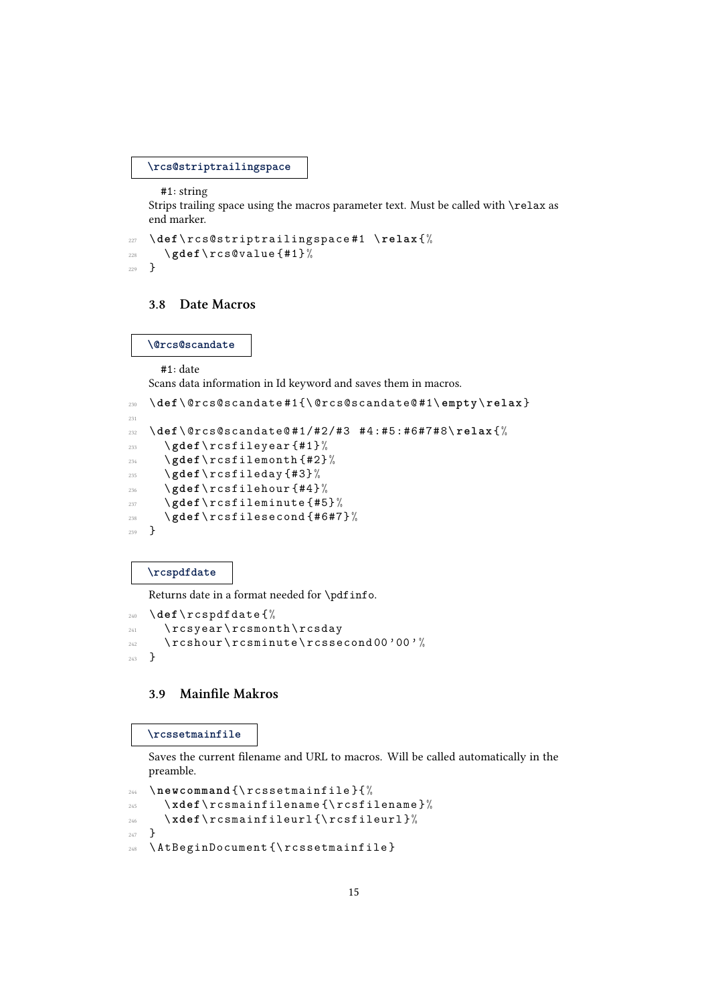**\rcs@striptrailingspace**

#1: string

Strips trailing space using the macros parameter text. Must be called with \relax as end marker.

```
227 \ def\ rcs@striptrailingspace #1 \ relax {%
228 \ gdef \ rcs@value {#1} %
229 }
```
### 3.8 Date Macros

**\@rcs@scandate**

#1: date

Scans data information in Id keyword and saves them in macros.

```
230 \ def\ @rcs@scandate #1{\ @rcs@scandate@ #1\ empty \ relax }
231
232 \ def\ @rcs@scandate@ #1/#2/#3 #4:#5:#6#7#8\ relax {%
233 \ gdef \ rcsfileyear {#1} %
234 \ gdef \ rcsfilemonth {#2} %
235 \ gdef \ rcsfileday {#3} %
236 \ gdef \ rcsfilehour {#4} %
237 \ gdef \ rcsfileminute {#5} %
238 \ gdef \ rcsfilesecond {#6#7} %
239 }
```
**\rcspdfdate**

Returns date in a format needed for \pdfinfo.

```
240 \ def\ rcspdfdate {%
241 \ rcsyear \ rcsmonth \ rcsday
242 \ rcshour\ rcsminute\ rcssecond 00 '00'%
243 }
```
# 3.9 Mainfile Makros

**\rcssetmainfile**

Saves the current filename and URL to macros. Will be called automatically in the preamble.

```
244 \ newcommand {\ rcssetmainfile }{%
245 \ xdef \ rcsmainfilename {\ rcsfilename }%
246 \ xdef \ rcsmainfileurl {\ rcsfileurl }%
247 }
248 \ AtBeginDocument {\ rcssetmainfile }
```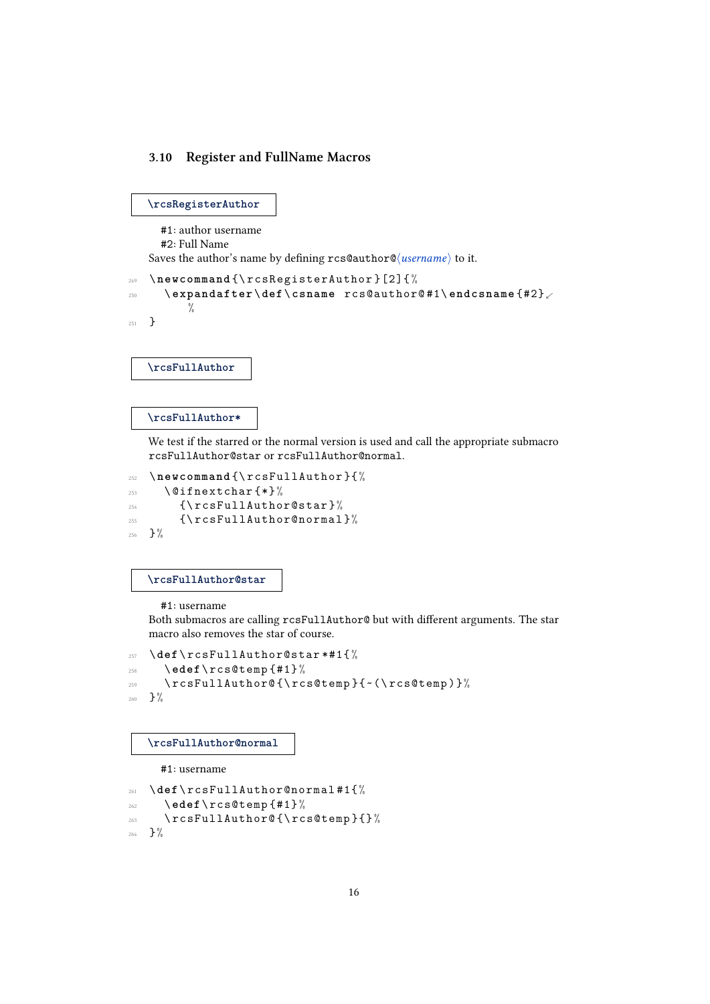# 3.10 Register and FullName Macros

```
\rcsRegisterAuthor
```
#1: author username #2: Full Name Saves the author's name by defining  $rcs@author@/username$  to it. <sup>249</sup> \ **newcommand** {\ rcsRegisterAuthor }[2]{ %

```
250 \ expandafter \ def \ csname rcs@author@ #1\ endcsname {#2}.
          \frac{1}{6}251 }
```
**\rcsFullAuthor**

#### **\rcsFullAuthor\***

We test if the starred or the normal version is used and call the appropriate submacro rcsFullAuthor@star or rcsFullAuthor@normal.

```
252 \ newcommand {\ rcsFullAuthor }{%
253 \ @ifnextchar {*}%
254 {\ rcsFullAuthor@star }%
255 {\ rcsFullAuthor@normal }%
256 } \%
```
**\rcsFullAuthor@star**

#1: username

Both submacros are calling rcsFullAuthor@ but with different arguments. The star macro also removes the star of course.

```
257 \ def\ rcsFullAuthor@star *#1{ %
258 \ edef \ rcs@temp {#1} %
259 \ rcsFullAuthor@ {\ rcs@temp }{~(\ rcs@temp ) }%
_{260} \, } \,\%
```
#### **\rcsFullAuthor@normal**

#1: username

```
261 \ def\ rcsFullAuthor@normal #1{%
262 \ edef \ rcs@temp {#1} %
263 \rcsFullAuthor@{\rcs@temp}{}%
264 } \frac{9}{6}
```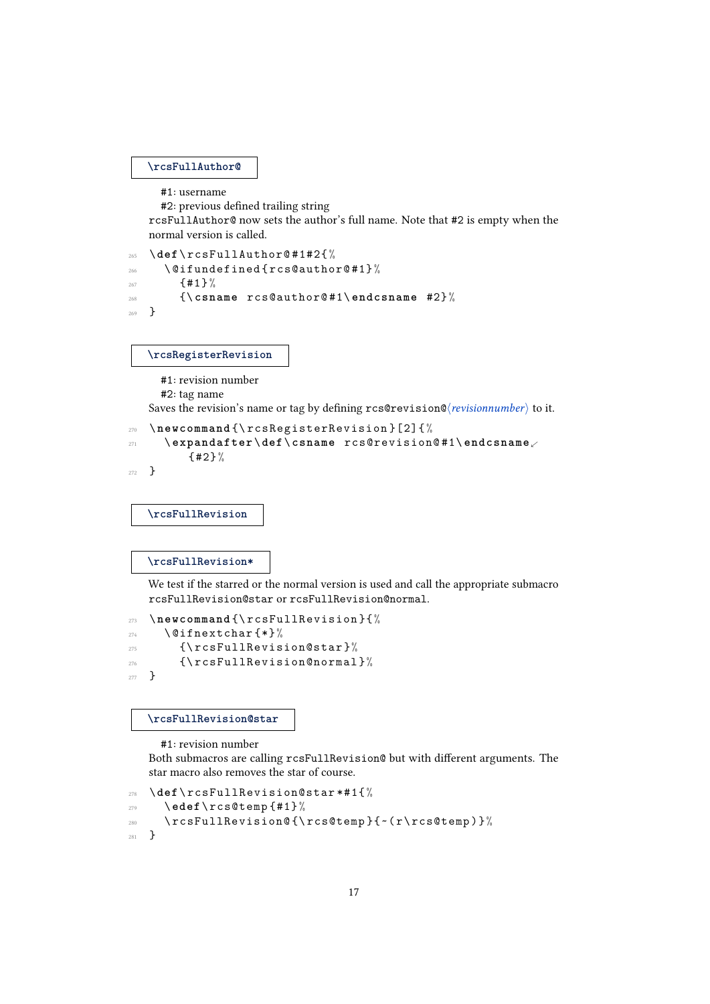#### **\rcsFullAuthor@**

```
#1: username
```
#2: previous defined trailing string

rcsFullAuthor@ now sets the author's full name. Note that #2 is empty when the normal version is called.

```
265 \ def\ rcsFullAuthor@ #1#2{ %
266 \ @ifundefined { rcs@author@ #1}%
267 \{ \# 1 \} %
268 {\ csname rcs@author@ #1\ endcsname #2}%
269 }
```
**\rcsRegisterRevision**

#1: revision number

#2: tag name

Saves the revision's name or tag by defining rcs@revision@ $\langle revisionnumber \rangle$  to it.

```
270 \ newcommand {\ rcsRegisterRevision }[2]{ %
271 \ expandafter \ def\ csname rcs@revision@ #1\ endcsname.
         {42}272 }
```
**\rcsFullRevision**

#### **\rcsFullRevision\***

We test if the starred or the normal version is used and call the appropriate submacro rcsFullRevision@star or rcsFullRevision@normal.

```
273 \ newcommand {\ rcsFullRevision }{%
274 \ @ifnextchar {*}%
275 {\rcsFullRevision@star}%
276 {\ rcsFullRevision@normal }%
277 }
```
**\rcsFullRevision@star**

#1: revision number

Both submacros are calling rcsFullRevision@ but with different arguments. The star macro also removes the star of course.

```
278 \ def\ rcsFullRevision@star *#1{ %
279 \ edef \ rcs@temp {#1} %
280 \ rcsFullRevision@ {\ rcs@temp }{~( r \ rcs@temp ) }%
281 }
```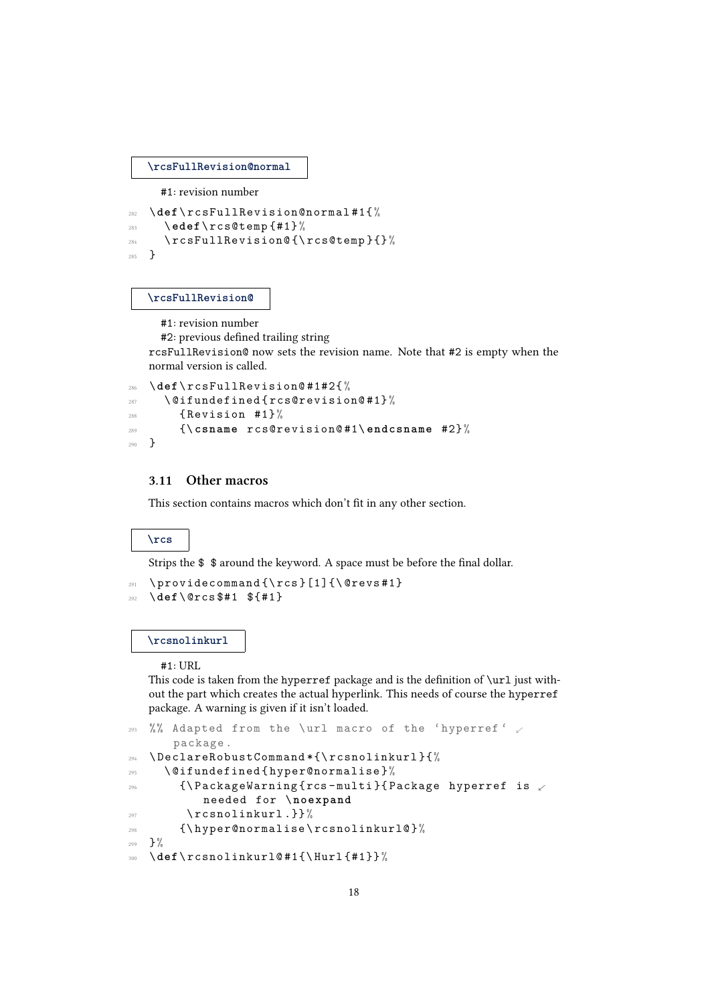**\rcsFullRevision@normal**

#1: revision number

```
282 \ def\ rcsFullRevision@normal #1{%
283 \ edef \ rcs@temp {#1} %
284 \ rcsFullRevision@ {\ rcs@temp }{}%
285 }
```
### **\rcsFullRevision@**

#1: revision number

 $#2$ : previous defined trailing string

rcsFullRevision@ now sets the revision name. Note that #2 is empty when the normal version is called.

```
286 \ def\ rcsFullRevision@ #1#2{ %
      \left\{ \alpha \in \mathbb{Z}^2 \mid \alpha \in \mathbb{Z}^2 \right\}288 {Revision #1}%
289 {\ csname rcs@revision@ #1\ endcsname #2}%
290 }
```
# 3.11 Other macros

This section contains macros which don't fit in any other section.

### **\rcs**

Strips the  $\$   $*$  around the keyword. A space must be before the final dollar.

```
291 \providecommand {\rcs } [1] {\@revs#1}
292 \ def\ @rcs $#1 ${#1}
```
#### **\rcsnolinkurl**

#1: URL

This code is taken from the hyperref package and is the definition of  $\url$  just without the part which creates the actual hyperlink. This needs of course the hyperref package. A warning is given if it isn't loaded.

```
293 %% Adapted from the \url macro of the 'hyperref' \swarrowpackage .
294 \ DeclareRobustCommand *{\ rcsnolinkurl }{%
295 \ @ifundefined { hyper@normalise }%
_{296} {\PackageWarning{rcs-multi}{Package hyperref is \swarrowneeded for \ noexpand
297 \rcsnolinkurl.}}%
298 {\ hyper@normalise \ rcsnolinkurl@ }%
299 } \frac{9}{9}300 \ def\ rcsnolinkurl@ #1{\ Hurl {#1}} %
```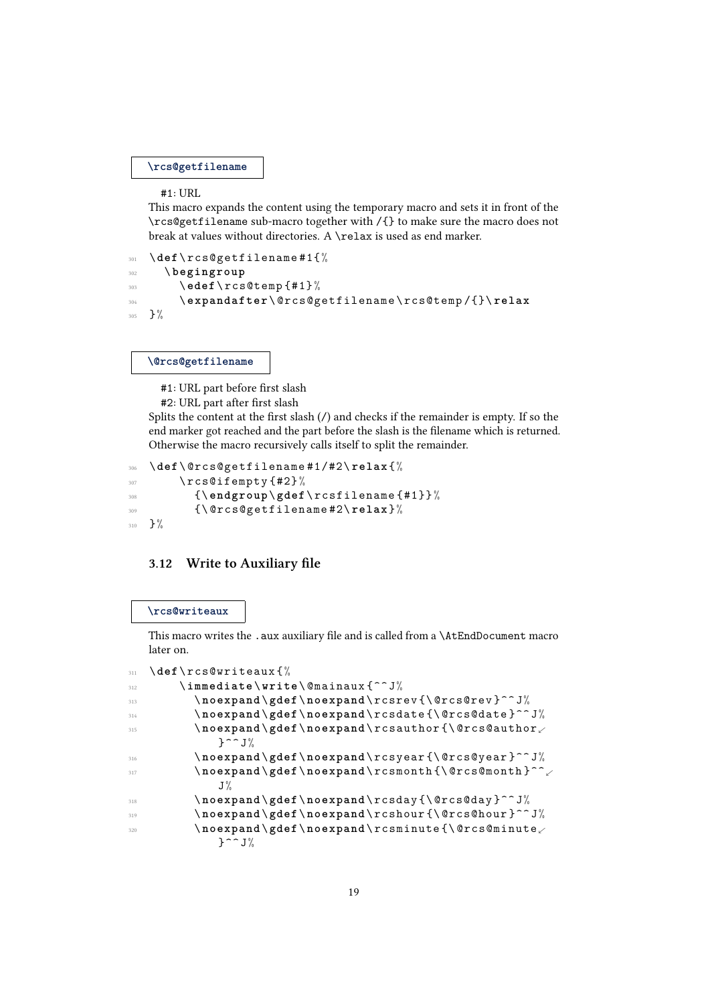**\rcs@getfilename**

#1: URL

This macro expands the content using the temporary macro and sets it in front of the \rcs@getfilename sub-macro together with /{} to make sure the macro does not break at values without directories. A \relax is used as end marker.

```
301 \ def\ rcs@getfilename #1{%
302 \ begingroup
303 \ edef \ rcs@temp {#1} %
304 \ expandafter \ @rcs@getfilename \ rcs@temp /{}\ relax
305 }%
```
**\@rcs@getfilename**

#1: URL part before first slash

#2: URL part after first slash

Splits the content at the first slash  $\binom{7}{1}$  and checks if the remainder is empty. If so the end marker got reached and the part before the slash is the filename which is returned. Otherwise the macro recursively calls itself to split the remainder.

```
306 \ def\ @rcs@getfilename #1/#2\ relax {%
307 \ rcs@ifempty{#2}%
308 {\ endgroup \ gdef \ rcsfilename {#1}} %
309 {\ @rcs@getfilename #2\ relax }%
310 }%
```
# 3.12 Write to Auxiliary file

### **\rcs@writeaux**

This macro writes the .aux auxiliary file and is called from a \AtEndDocument macro later on.

```
311 \ def\ rcs@writeaux {%
312 \ immediate \ write \ @mainaux {^^ J%
313 \ noexpand \ gdef \ noexpand \ rcsrev {\ @rcs@rev }^^ J%
314 \ noexpand \ gdef \ noexpand \ rcsdate {\ @rcs@date }^^ J%
315 \ noexpand \ gdef \ noexpand \ rcsauthor {\ @rcs@author.
              3^{\circ} J%
316 \ noexpand \ gdef \ noexpand \ rcsyear {\ @rcs@year }^^ J%
317 \ noexpand \ gdef \ noexpand \ rcsmonth {\ @rcs@month }^^.
              J\%318 \ noexpand \ gdef \ noexpand \ rcsday {\ @rcs@day }^^ J%
319 \ noexpand \ gdef \ noexpand \ rcshour {\ @rcs@hour }^^ J%
          \setminusnoexpand\setminusgdef\setminusnoexpand\setminusrcsminute\setminus\} ^ \degree J%
```